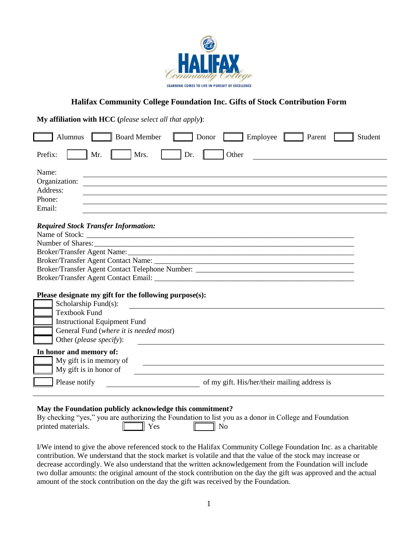

## **Halifax Community College Foundation Inc. Gifts of Stock Contribution Form**

**My affiliation with HCC (***please select all that apply***)**:

| <b>Board Member</b><br>Alumnus                         | Employee<br>Parent<br>Student<br>Donor                                                                                |
|--------------------------------------------------------|-----------------------------------------------------------------------------------------------------------------------|
| Mrs.<br>Prefix:<br>Mr.<br>Dr.                          | Other                                                                                                                 |
| Name:                                                  |                                                                                                                       |
| Organization:                                          |                                                                                                                       |
| Address:                                               |                                                                                                                       |
| Phone:                                                 |                                                                                                                       |
| Email:                                                 |                                                                                                                       |
| <b>Required Stock Transfer Information:</b>            |                                                                                                                       |
|                                                        |                                                                                                                       |
|                                                        |                                                                                                                       |
|                                                        |                                                                                                                       |
|                                                        |                                                                                                                       |
|                                                        |                                                                                                                       |
|                                                        |                                                                                                                       |
| Please designate my gift for the following purpose(s): |                                                                                                                       |
| Scholarship Fund(s):                                   |                                                                                                                       |
| <b>Textbook Fund</b>                                   |                                                                                                                       |
| <b>Instructional Equipment Fund</b>                    |                                                                                                                       |
| General Fund (where it is needed most)                 |                                                                                                                       |
| Other (please specify):                                |                                                                                                                       |
| In honor and memory of:                                |                                                                                                                       |
| My gift is in memory of                                | <u> 1980 - Jan Samuel Barbara, martin de la provincia de la provincia de la provincia de la provincia de la provi</u> |
| My gift is in honor of                                 |                                                                                                                       |
| Please notify                                          | of my gift. His/her/their mailing address is                                                                          |
|                                                        |                                                                                                                       |

## **May the Foundation publicly acknowledge this commitment?**

| By checking "yes," you are authorizing the Foundation to list you as a donor in College and Foundation |              |         |  |  |
|--------------------------------------------------------------------------------------------------------|--------------|---------|--|--|
| printed materials.                                                                                     | <b>I</b> Yes | – II No |  |  |

I/We intend to give the above referenced stock to the Halifax Community College Foundation Inc. as a charitable contribution. We understand that the stock market is volatile and that the value of the stock may increase or decrease accordingly. We also understand that the written acknowledgement from the Foundation will include two dollar amounts: the original amount of the stock contribution on the day the gift was approved and the actual amount of the stock contribution on the day the gift was received by the Foundation.